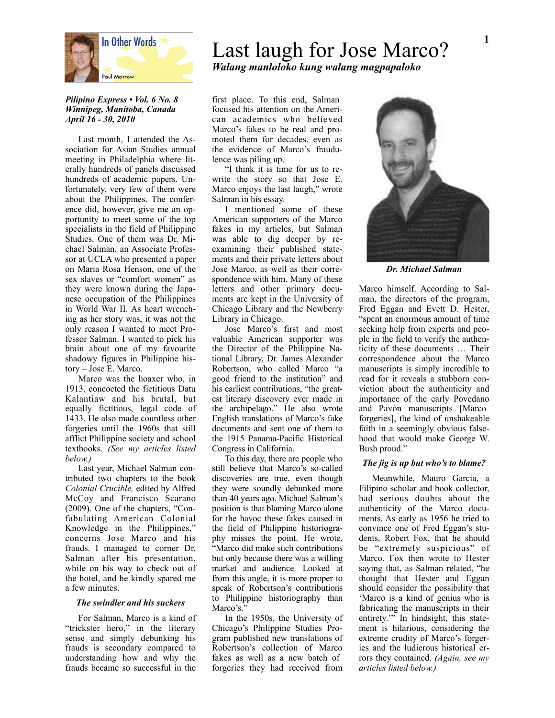

## *Pilipino Express • Vol. 6 No. 8 Winnipeg, Manitoba, Canada April 16 - 30, 2010*

Last month, I attended the Association for Asian Studies annual meeting in Philadelphia where literally hundreds of panels discussed hundreds of academic papers. Unfortunately, very few of them were about the Philippines. The conference did, however, give me an opportunity to meet some of the top specialists in the field of Philippine Studies. One of them was Dr. Michael Salman, an Associate Professor at UCLA who presented a paper on Maria Rosa Henson, one of the sex slaves or "comfort women" as they were known during the Japanese occupation of the Philippines in World War II. As heart wrenching as her story was, it was not the only reason I wanted to meet Professor Salman. I wanted to pick his brain about one of my favourite shadowy figures in Philippine history – Jose E. Marco.

Marco was the hoaxer who, in 1913, concocted the fictitious Datu Kalantiaw and his brutal, but equally fictitious, legal code of 1433. He also made countless other forgeries until the 1960s that still afflict Philippine society and school textbooks. *(See my articles listed below.)*

Last year, Michael Salman contributed two chapters to the book *Colonial Crucible,* edited by Alfred McCoy and Francisco Scarano (2009). One of the chapters, "Confabulating American Colonial Knowledge in the Philippines," concerns Jose Marco and his frauds. I managed to corner Dr. Salman after his presentation, while on his way to check out of the hotel, and he kindly spared me a few minutes.

## *The swindler and his suckers*

For Salman, Marco is a kind of "trickster hero," in the literary sense and simply debunking his frauds is secondary compared to understanding how and why the frauds became so successful in the

# Last laugh for Jose Marco? *Walang manloloko kung walang magpapaloko*

first place. To this end, Salman focused his attention on the American academics who believed Marco's fakes to be real and promoted them for decades, even as the evidence of Marco's fraudulence was piling up.

"I think it is time for us to rewrite the story so that Jose E. Marco enjoys the last laugh," wrote Salman in his essay.

I mentioned some of these American supporters of the Marco fakes in my articles, but Salman was able to dig deeper by reexamining their published statements and their private letters about Jose Marco, as well as their correspondence with him. Many of these letters and other primary documents are kept in the University of Chicago Library and the Newberry Library in Chicago.

Jose Marco's first and most valuable American supporter was the Director of the Philippine National Library, Dr. James Alexander Robertson, who called Marco "a good friend to the institution" and his earliest contributions, "the greatest literary discovery ever made in the archipelago." He also wrote English translations of Marco's fake documents and sent one of them to the 1915 Panama-Pacific Historical Congress in California.

To this day, there are people who still believe that Marco's so-called discoveries are true, even though they were soundly debunked more than 40 years ago. Michael Salman's position is that blaming Marco alone for the havoc these fakes caused in the field of Philippine historiography misses the point. He wrote, "Marco did make such contributions but only because there was a willing market and audience. Looked at from this angle, it is more proper to speak of Robertson's contributions to Philippine historiography than Marco's."

In the 1950s, the University of Chicago's Philippine Studies Program published new translations of Robertson's collection of Marco fakes as well as a new batch of forgeries they had received from



*Dr. Michael Salman*

Marco himself. According to Salman, the directors of the program, Fred Eggan and Evett D. Hester, "spent an enormous amount of time seeking help from experts and people in the field to verify the authenticity of these documents … Their correspondence about the Marco manuscripts is simply incredible to read for it reveals a stubborn conviction about the authenticity and importance of the early Povedano and Pavón manuscripts [Marco forgeries], the kind of unshakeable faith in a seemingly obvious falsehood that would make George W. Bush proud."

## *The jig is up but who's to blame?*

Meanwhile, Mauro Garcia, a Filipino scholar and book collector, had serious doubts about the authenticity of the Marco documents. As early as 1956 he tried to convince one of Fred Eggan's students, Robert Fox, that he should be "extremely suspicious" of Marco. Fox then wrote to Hester saying that, as Salman related, "he thought that Hester and Eggan should consider the possibility that 'Marco is a kind of genius who is fabricating the manuscripts in their entirety.'" In hindsight, this statement is hilarious, considering the extreme crudity of Marco's forgeries and the ludicrous historical errors they contained. *(Again, see my articles listed below.)*